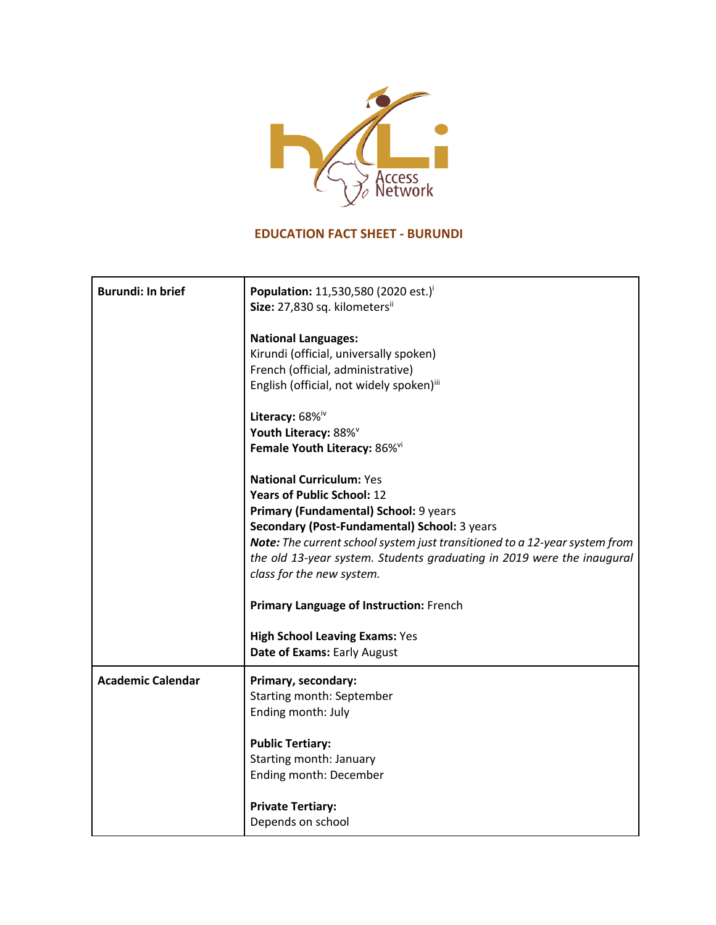

## **EDUCATION FACT SHEET - BURUNDI**

| <b>Burundi: In brief</b> | Population: 11,530,580 (2020 est.) <sup>i</sup>                            |
|--------------------------|----------------------------------------------------------------------------|
|                          | Size: 27,830 sq. kilometersii                                              |
|                          | <b>National Languages:</b>                                                 |
|                          | Kirundi (official, universally spoken)                                     |
|                          | French (official, administrative)                                          |
|                          | English (official, not widely spoken) <sup>iii</sup>                       |
|                          | Literacy: 68%iv                                                            |
|                          | Youth Literacy: 88% <sup>v</sup>                                           |
|                          | Female Youth Literacy: 86%vi                                               |
|                          | <b>National Curriculum: Yes</b>                                            |
|                          | <b>Years of Public School: 12</b>                                          |
|                          | Primary (Fundamental) School: 9 years                                      |
|                          | Secondary (Post-Fundamental) School: 3 years                               |
|                          | Note: The current school system just transitioned to a 12-year system from |
|                          | the old 13-year system. Students graduating in 2019 were the inaugural     |
|                          | class for the new system.                                                  |
|                          | Primary Language of Instruction: French                                    |
|                          | <b>High School Leaving Exams: Yes</b>                                      |
|                          | Date of Exams: Early August                                                |
| <b>Academic Calendar</b> | Primary, secondary:                                                        |
|                          | <b>Starting month: September</b>                                           |
|                          | Ending month: July                                                         |
|                          | <b>Public Tertiary:</b>                                                    |
|                          | Starting month: January                                                    |
|                          | Ending month: December                                                     |
|                          | <b>Private Tertiary:</b>                                                   |
|                          | Depends on school                                                          |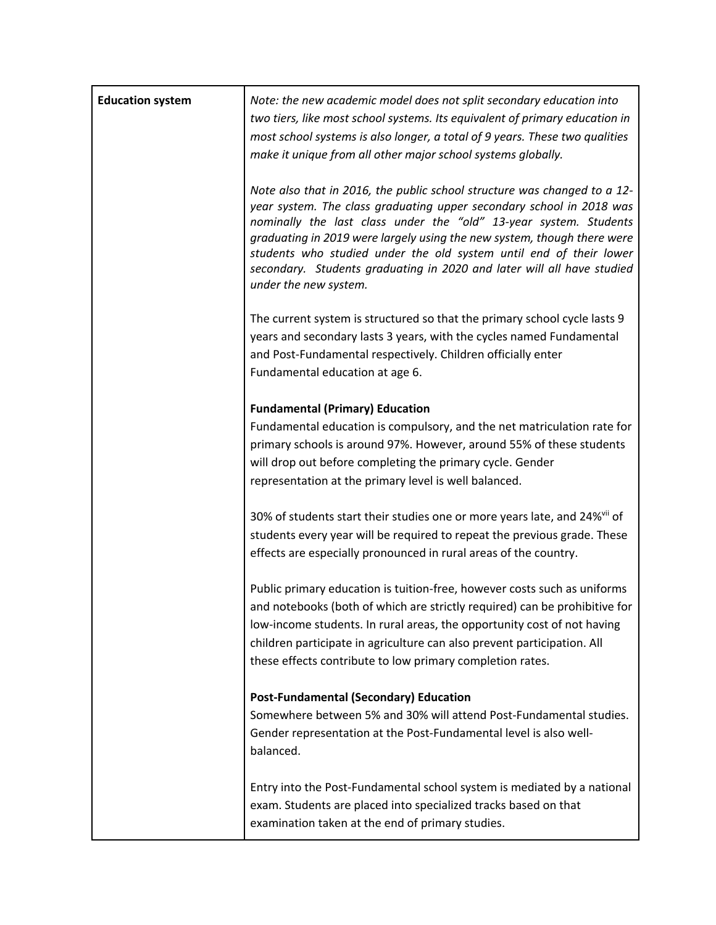| <b>Education system</b> | Note: the new academic model does not split secondary education into<br>two tiers, like most school systems. Its equivalent of primary education in<br>most school systems is also longer, a total of 9 years. These two qualities<br>make it unique from all other major school systems globally.                                                                                                                                                                        |  |  |  |  |  |
|-------------------------|---------------------------------------------------------------------------------------------------------------------------------------------------------------------------------------------------------------------------------------------------------------------------------------------------------------------------------------------------------------------------------------------------------------------------------------------------------------------------|--|--|--|--|--|
|                         | Note also that in 2016, the public school structure was changed to a 12-<br>year system. The class graduating upper secondary school in 2018 was<br>nominally the last class under the "old" 13-year system. Students<br>graduating in 2019 were largely using the new system, though there were<br>students who studied under the old system until end of their lower<br>secondary. Students graduating in 2020 and later will all have studied<br>under the new system. |  |  |  |  |  |
|                         | The current system is structured so that the primary school cycle lasts 9<br>years and secondary lasts 3 years, with the cycles named Fundamental<br>and Post-Fundamental respectively. Children officially enter<br>Fundamental education at age 6.                                                                                                                                                                                                                      |  |  |  |  |  |
|                         | <b>Fundamental (Primary) Education</b>                                                                                                                                                                                                                                                                                                                                                                                                                                    |  |  |  |  |  |
|                         | Fundamental education is compulsory, and the net matriculation rate for                                                                                                                                                                                                                                                                                                                                                                                                   |  |  |  |  |  |
|                         | primary schools is around 97%. However, around 55% of these students                                                                                                                                                                                                                                                                                                                                                                                                      |  |  |  |  |  |
|                         | will drop out before completing the primary cycle. Gender                                                                                                                                                                                                                                                                                                                                                                                                                 |  |  |  |  |  |
|                         | representation at the primary level is well balanced.                                                                                                                                                                                                                                                                                                                                                                                                                     |  |  |  |  |  |
|                         | 30% of students start their studies one or more years late, and 24% <sup>vii</sup> of<br>students every year will be required to repeat the previous grade. These                                                                                                                                                                                                                                                                                                         |  |  |  |  |  |
|                         | effects are especially pronounced in rural areas of the country.                                                                                                                                                                                                                                                                                                                                                                                                          |  |  |  |  |  |
|                         | Public primary education is tuition-free, however costs such as uniforms<br>and notebooks (both of which are strictly required) can be prohibitive for<br>low-income students. In rural areas, the opportunity cost of not having<br>children participate in agriculture can also prevent participation. All<br>these effects contribute to low primary completion rates.                                                                                                 |  |  |  |  |  |
|                         | <b>Post-Fundamental (Secondary) Education</b>                                                                                                                                                                                                                                                                                                                                                                                                                             |  |  |  |  |  |
|                         | Somewhere between 5% and 30% will attend Post-Fundamental studies.                                                                                                                                                                                                                                                                                                                                                                                                        |  |  |  |  |  |
|                         | Gender representation at the Post-Fundamental level is also well-<br>balanced.                                                                                                                                                                                                                                                                                                                                                                                            |  |  |  |  |  |
|                         | Entry into the Post-Fundamental school system is mediated by a national<br>exam. Students are placed into specialized tracks based on that<br>examination taken at the end of primary studies.                                                                                                                                                                                                                                                                            |  |  |  |  |  |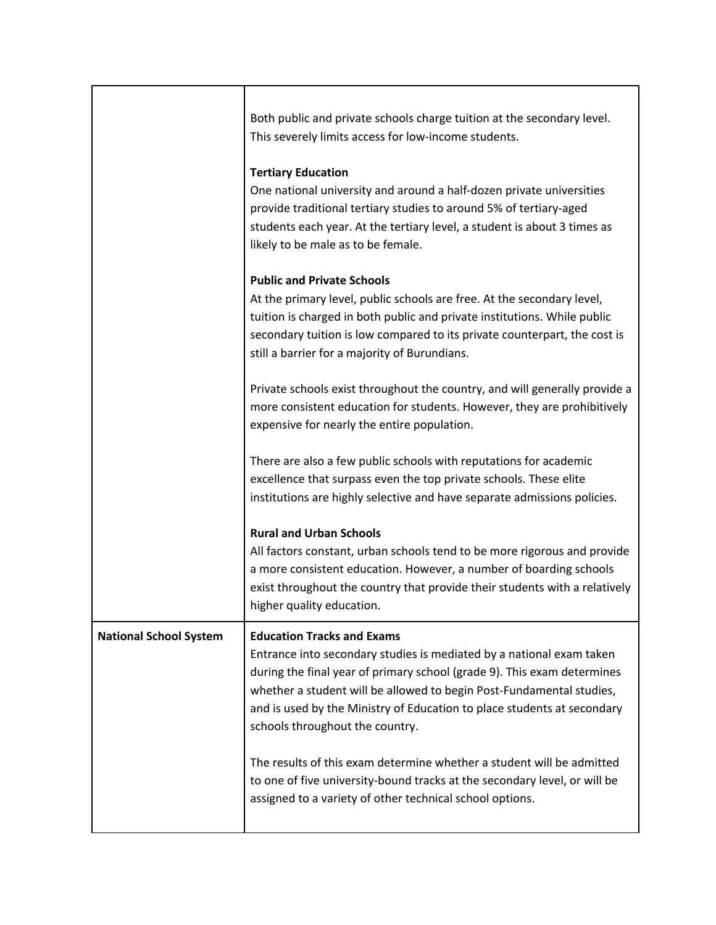|                               | Both public and private schools charge tuition at the secondary level.<br>This severely limits access for low-income students.                                                                                                                                                                                                                                             |
|-------------------------------|----------------------------------------------------------------------------------------------------------------------------------------------------------------------------------------------------------------------------------------------------------------------------------------------------------------------------------------------------------------------------|
|                               | <b>Tertiary Education</b><br>One national university and around a half-dozen private universities<br>provide traditional tertiary studies to around 5% of tertiary-aged<br>students each year. At the tertiary level, a student is about 3 times as<br>likely to be male as to be female.                                                                                  |
|                               | <b>Public and Private Schools</b><br>At the primary level, public schools are free. At the secondary level,<br>tuition is charged in both public and private institutions. While public<br>secondary tuition is low compared to its private counterpart, the cost is<br>still a barrier for a majority of Burundians.                                                      |
|                               | Private schools exist throughout the country, and will generally provide a<br>more consistent education for students. However, they are prohibitively<br>expensive for nearly the entire population.                                                                                                                                                                       |
|                               | There are also a few public schools with reputations for academic<br>excellence that surpass even the top private schools. These elite<br>institutions are highly selective and have separate admissions policies.                                                                                                                                                         |
|                               | <b>Rural and Urban Schools</b><br>All factors constant, urban schools tend to be more rigorous and provide<br>a more consistent education. However, a number of boarding schools<br>exist throughout the country that provide their students with a relatively<br>higher quality education.                                                                                |
| <b>National School System</b> | <b>Education Tracks and Exams</b><br>Entrance into secondary studies is mediated by a national exam taken<br>during the final year of primary school (grade 9). This exam determines<br>whether a student will be allowed to begin Post-Fundamental studies,<br>and is used by the Ministry of Education to place students at secondary<br>schools throughout the country. |
|                               | The results of this exam determine whether a student will be admitted<br>to one of five university-bound tracks at the secondary level, or will be<br>assigned to a variety of other technical school options.                                                                                                                                                             |

Г

T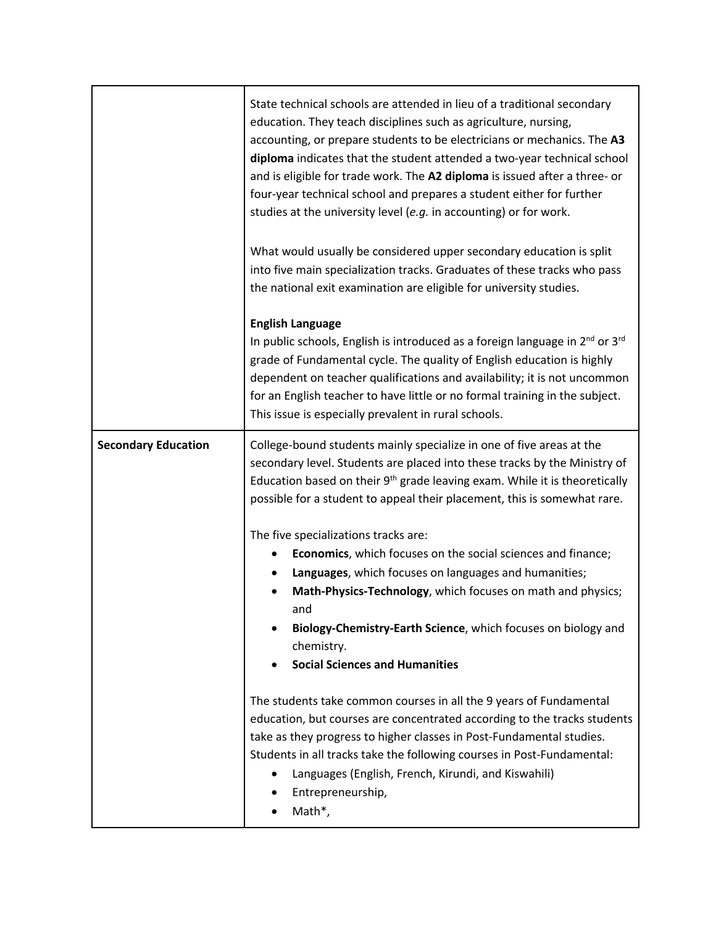|                            | State technical schools are attended in lieu of a traditional secondary<br>education. They teach disciplines such as agriculture, nursing,<br>accounting, or prepare students to be electricians or mechanics. The A3<br>diploma indicates that the student attended a two-year technical school<br>and is eligible for trade work. The A2 diploma is issued after a three- or<br>four-year technical school and prepares a student either for further<br>studies at the university level (e.g. in accounting) or for work.<br>What would usually be considered upper secondary education is split<br>into five main specialization tracks. Graduates of these tracks who pass<br>the national exit examination are eligible for university studies. |
|----------------------------|------------------------------------------------------------------------------------------------------------------------------------------------------------------------------------------------------------------------------------------------------------------------------------------------------------------------------------------------------------------------------------------------------------------------------------------------------------------------------------------------------------------------------------------------------------------------------------------------------------------------------------------------------------------------------------------------------------------------------------------------------|
|                            | <b>English Language</b><br>In public schools, English is introduced as a foreign language in $2^{nd}$ or $3^{rd}$<br>grade of Fundamental cycle. The quality of English education is highly<br>dependent on teacher qualifications and availability; it is not uncommon<br>for an English teacher to have little or no formal training in the subject.<br>This issue is especially prevalent in rural schools.                                                                                                                                                                                                                                                                                                                                       |
| <b>Secondary Education</b> | College-bound students mainly specialize in one of five areas at the<br>secondary level. Students are placed into these tracks by the Ministry of<br>Education based on their 9 <sup>th</sup> grade leaving exam. While it is theoretically<br>possible for a student to appeal their placement, this is somewhat rare.                                                                                                                                                                                                                                                                                                                                                                                                                              |
|                            | The five specializations tracks are:<br>Economics, which focuses on the social sciences and finance;<br>Languages, which focuses on languages and humanities;<br>Math-Physics-Technology, which focuses on math and physics;<br>and<br>Biology-Chemistry-Earth Science, which focuses on biology and<br>chemistry.<br><b>Social Sciences and Humanities</b>                                                                                                                                                                                                                                                                                                                                                                                          |
|                            | The students take common courses in all the 9 years of Fundamental<br>education, but courses are concentrated according to the tracks students<br>take as they progress to higher classes in Post-Fundamental studies.<br>Students in all tracks take the following courses in Post-Fundamental:<br>Languages (English, French, Kirundi, and Kiswahili)<br>Entrepreneurship,<br>Math*,                                                                                                                                                                                                                                                                                                                                                               |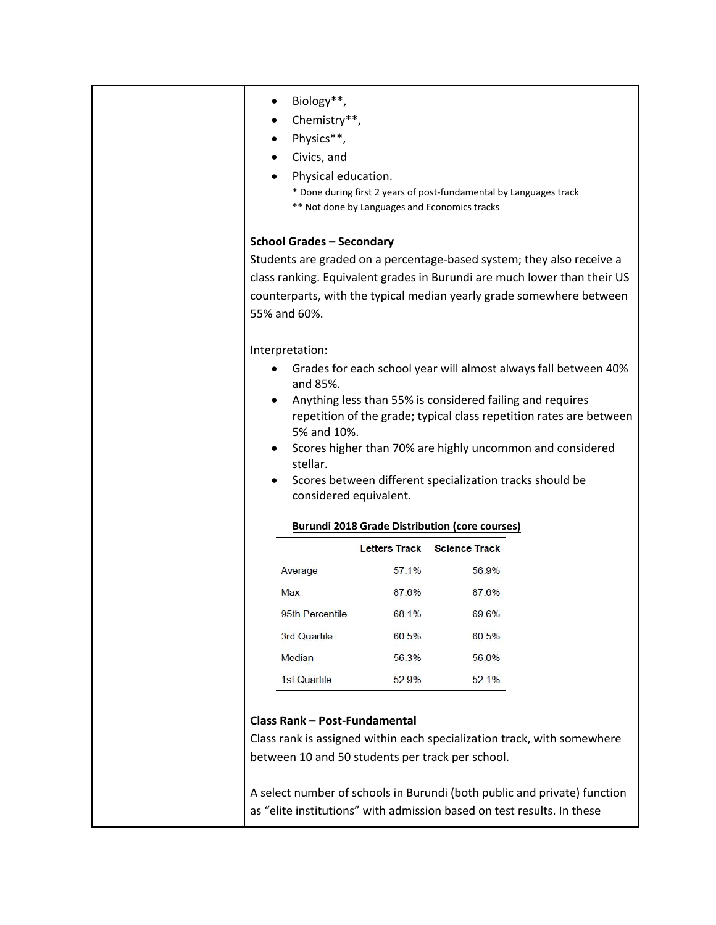| ٠         |                                               |                |                                                                          |  |
|-----------|-----------------------------------------------|----------------|--------------------------------------------------------------------------|--|
|           | Biology**,                                    |                |                                                                          |  |
|           | Chemistry**,                                  |                |                                                                          |  |
|           | Physics**,                                    |                |                                                                          |  |
| $\bullet$ | Civics, and                                   |                |                                                                          |  |
|           | Physical education.                           |                |                                                                          |  |
|           | ** Not done by Languages and Economics tracks |                | * Done during first 2 years of post-fundamental by Languages track       |  |
|           |                                               |                |                                                                          |  |
|           | <b>School Grades - Secondary</b>              |                |                                                                          |  |
|           |                                               |                | Students are graded on a percentage-based system; they also receive a    |  |
|           |                                               |                | class ranking. Equivalent grades in Burundi are much lower than their US |  |
|           |                                               |                | counterparts, with the typical median yearly grade somewhere between     |  |
|           | 55% and 60%.                                  |                |                                                                          |  |
|           |                                               |                |                                                                          |  |
|           | Interpretation:                               |                |                                                                          |  |
|           | and 85%.                                      |                | Grades for each school year will almost always fall between 40%          |  |
|           |                                               |                | Anything less than 55% is considered failing and requires                |  |
|           |                                               |                | repetition of the grade; typical class repetition rates are between      |  |
|           | 5% and 10%.                                   |                |                                                                          |  |
| $\bullet$ | stellar.                                      |                | Scores higher than 70% are highly uncommon and considered                |  |
|           |                                               |                | Scores between different specialization tracks should be                 |  |
|           |                                               |                |                                                                          |  |
|           | considered equivalent.                        |                |                                                                          |  |
|           |                                               |                |                                                                          |  |
|           |                                               |                | <b>Burundi 2018 Grade Distribution (core courses)</b>                    |  |
|           |                                               |                | Letters Track Science Track                                              |  |
|           | Average                                       | 57.1%          | 56.9%                                                                    |  |
|           | <b>Max</b>                                    | 87.6%          | 87.6%                                                                    |  |
|           | 95th Percentile                               | 68.1%          | 69.6%                                                                    |  |
|           | 3rd Quartile                                  | 60.5%          | 60.5%                                                                    |  |
|           | Median<br>1st Quartile                        | 56.3%<br>52.9% | 56.0%<br>52.1%                                                           |  |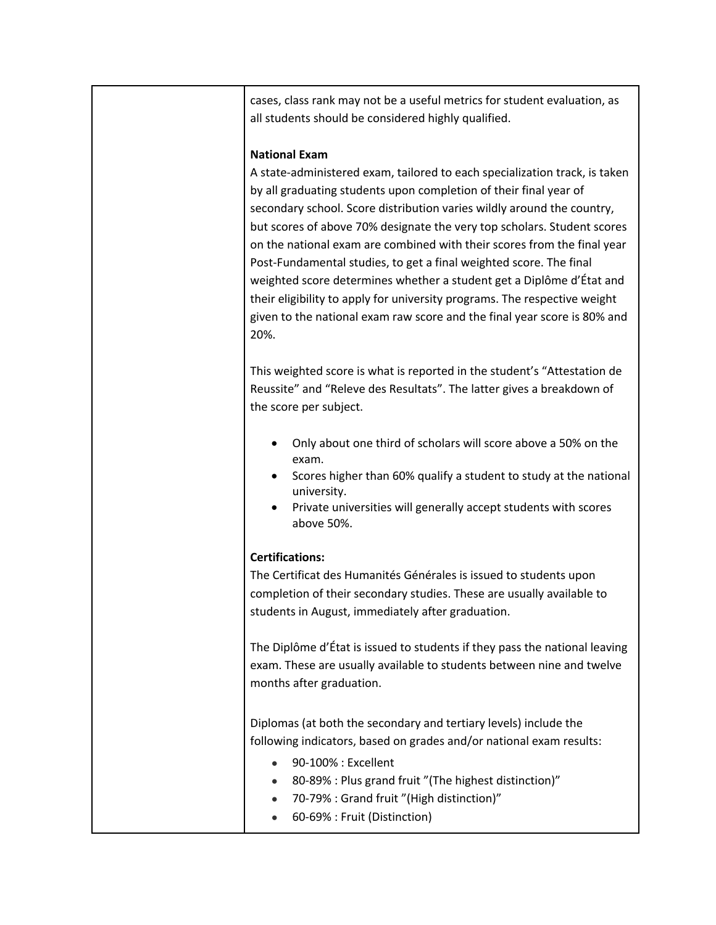cases, class rank may not be a useful metrics for student evaluation, as all students should be considered highly qualified.

## **National Exam**

A state-administered exam, tailored to each specialization track, is taken by all graduating students upon completion of their final year of secondary school. Score distribution varies wildly around the country, but scores of above 70% designate the very top scholars. Student scores on the national exam are combined with their scores from the final year Post-Fundamental studies, to get a final weighted score. The final weighted score determines whether a student get a Diplôme d'État and their eligibility to apply for university programs. The respective weight given to the national exam raw score and the final year score is 80% and 20%.

This weighted score is what is reported in the student's "Attestation de Reussite" and "Releve des Resultats". The latter gives a breakdown of the score per subject.

- Only about one third of scholars will score above a 50% on the exam.
- Scores higher than 60% qualify a student to study at the national university.
- Private universities will generally accept students with scores above 50%.

## **Certifications:**

The Certificat des Humanités Générales is issued to students upon completion of their secondary studies. These are usually available to students in August, immediately after graduation.

The Diplôme d'État is issued to students if they pass the national leaving exam. These are usually available to students between nine and twelve months after graduation.

Diplomas (at both the secondary and tertiary levels) include the following indicators, based on grades and/or national exam results:

- 90-100% : Excellent
- 80-89% : Plus grand fruit "(The highest distinction)"
- 70-79% : Grand fruit "(High distinction)"
- 60-69% : Fruit (Distinction)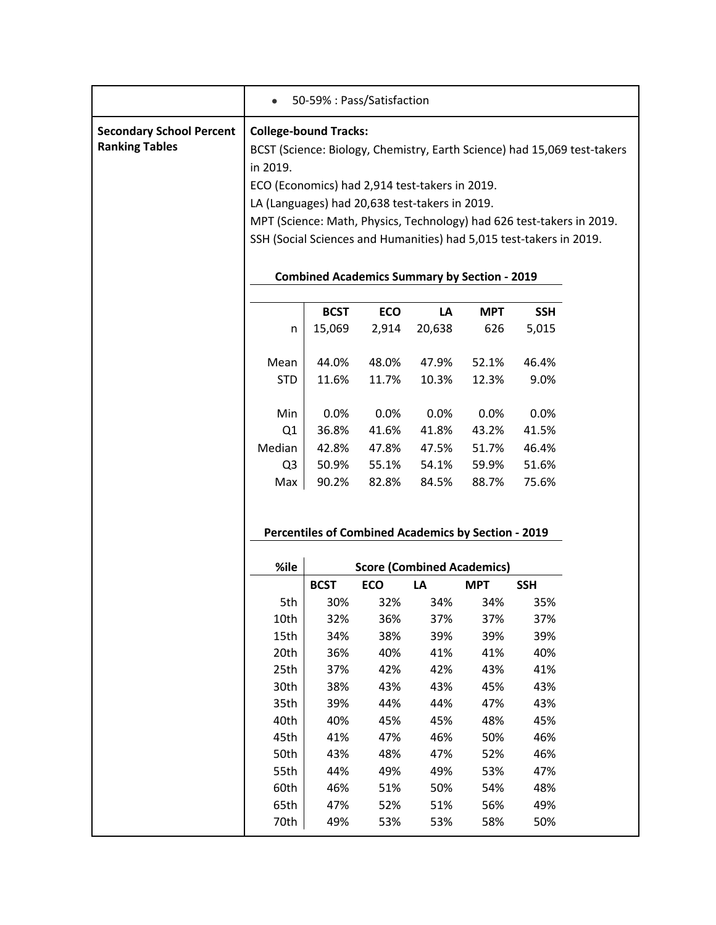|                                                          |                                                                                                                                                                                                                                                                                                                                                                                                                                 | 50-59% : Pass/Satisfaction |                     |                |                                                                                                 |                     |  |
|----------------------------------------------------------|---------------------------------------------------------------------------------------------------------------------------------------------------------------------------------------------------------------------------------------------------------------------------------------------------------------------------------------------------------------------------------------------------------------------------------|----------------------------|---------------------|----------------|-------------------------------------------------------------------------------------------------|---------------------|--|
| <b>Secondary School Percent</b><br><b>Ranking Tables</b> | <b>College-bound Tracks:</b><br>BCST (Science: Biology, Chemistry, Earth Science) had 15,069 test-takers<br>in 2019.<br>ECO (Economics) had 2,914 test-takers in 2019.<br>LA (Languages) had 20,638 test-takers in 2019.<br>MPT (Science: Math, Physics, Technology) had 626 test-takers in 2019.<br>SSH (Social Sciences and Humanities) had 5,015 test-takers in 2019.<br><b>Combined Academics Summary by Section - 2019</b> |                            |                     |                |                                                                                                 |                     |  |
|                                                          | n                                                                                                                                                                                                                                                                                                                                                                                                                               | <b>BCST</b><br>15,069      | <b>ECO</b><br>2,914 | LA<br>20,638   | <b>MPT</b><br>626                                                                               | <b>SSH</b><br>5,015 |  |
|                                                          | Mean                                                                                                                                                                                                                                                                                                                                                                                                                            | 44.0%                      | 48.0%               | 47.9%          | 52.1%                                                                                           | 46.4%               |  |
|                                                          | <b>STD</b>                                                                                                                                                                                                                                                                                                                                                                                                                      | 11.6%                      | 11.7%               | 10.3%          | 12.3%                                                                                           | 9.0%                |  |
|                                                          | Min                                                                                                                                                                                                                                                                                                                                                                                                                             | 0.0%                       | 0.0%                | 0.0%           | 0.0%                                                                                            | 0.0%                |  |
|                                                          | Q <sub>1</sub>                                                                                                                                                                                                                                                                                                                                                                                                                  | 36.8%                      | 41.6%               | 41.8%          | 43.2%                                                                                           | 41.5%               |  |
|                                                          | Median                                                                                                                                                                                                                                                                                                                                                                                                                          | 42.8%                      | 47.8%               | 47.5%          | 51.7%                                                                                           | 46.4%               |  |
|                                                          | Q <sub>3</sub><br>Max                                                                                                                                                                                                                                                                                                                                                                                                           | 50.9%<br>90.2%             | 55.1%<br>82.8%      | 54.1%<br>84.5% | 59.9%<br>88.7%                                                                                  | 51.6%<br>75.6%      |  |
|                                                          | %ile                                                                                                                                                                                                                                                                                                                                                                                                                            |                            |                     |                | <b>Percentiles of Combined Academics by Section - 2019</b><br><b>Score (Combined Academics)</b> |                     |  |
|                                                          |                                                                                                                                                                                                                                                                                                                                                                                                                                 | <b>BCST</b>                | ECO                 | LA             | <b>MPT</b>                                                                                      | <b>SSH</b>          |  |
|                                                          | 5th                                                                                                                                                                                                                                                                                                                                                                                                                             | 30%                        | 32%                 | 34%            | 34%                                                                                             | 35%                 |  |
|                                                          | 10th                                                                                                                                                                                                                                                                                                                                                                                                                            | 32%                        | 36%                 | 37%            | 37%                                                                                             | 37%                 |  |
|                                                          | 15th                                                                                                                                                                                                                                                                                                                                                                                                                            | 34%                        | 38%                 | 39%            | 39%                                                                                             | 39%                 |  |
|                                                          | 20th                                                                                                                                                                                                                                                                                                                                                                                                                            | 36%                        | 40%                 | 41%            | 41%                                                                                             | 40%                 |  |
|                                                          | 25th                                                                                                                                                                                                                                                                                                                                                                                                                            | 37%                        | 42%                 | 42%            | 43%                                                                                             | 41%                 |  |
|                                                          | 30th                                                                                                                                                                                                                                                                                                                                                                                                                            | 38%                        | 43%                 | 43%            | 45%                                                                                             | 43%                 |  |
|                                                          | 35th                                                                                                                                                                                                                                                                                                                                                                                                                            | 39%                        | 44%                 | 44%            | 47%                                                                                             | 43%                 |  |
|                                                          | 40th                                                                                                                                                                                                                                                                                                                                                                                                                            | 40%                        | 45%                 | 45%            | 48%                                                                                             | 45%                 |  |
|                                                          | 45th                                                                                                                                                                                                                                                                                                                                                                                                                            | 41%                        | 47%                 | 46%            | 50%                                                                                             | 46%                 |  |
|                                                          | 50th                                                                                                                                                                                                                                                                                                                                                                                                                            | 43%                        | 48%                 | 47%            | 52%                                                                                             | 46%                 |  |
|                                                          | 55th                                                                                                                                                                                                                                                                                                                                                                                                                            | 44%                        | 49%                 | 49%            | 53%                                                                                             | 47%                 |  |
|                                                          | 60th                                                                                                                                                                                                                                                                                                                                                                                                                            | 46%                        | 51%                 | 50%            | 54%                                                                                             | 48%                 |  |
|                                                          | 65th                                                                                                                                                                                                                                                                                                                                                                                                                            | 47%                        | 52%                 | 51%            | 56%                                                                                             | 49%                 |  |
|                                                          | 70th                                                                                                                                                                                                                                                                                                                                                                                                                            | 49%                        | 53%                 | 53%            | 58%                                                                                             | 50%                 |  |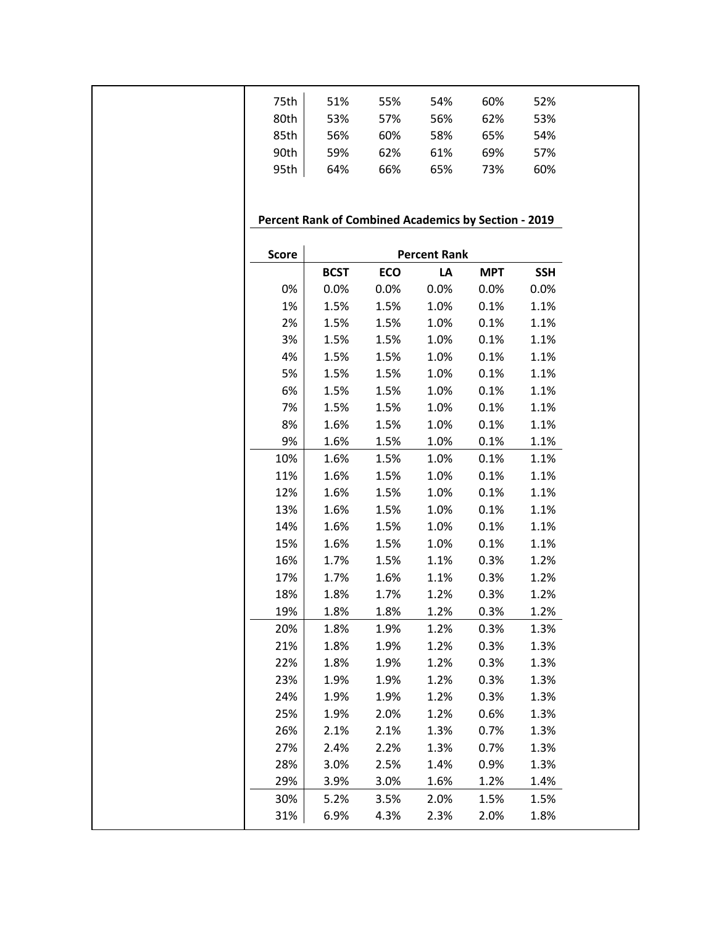| 75th         | 51%                                                  | 55%  | 54%                 | 60%        | 52%        |
|--------------|------------------------------------------------------|------|---------------------|------------|------------|
| 80th         | 53%                                                  | 57%  | 56%                 | 62%        | 53%        |
| 85th         | 56%                                                  | 60%  | 58%                 | 65%        | 54%        |
| 90th         | 59%                                                  | 62%  | 61%                 | 69%        | 57%        |
| 95th         | 64%                                                  | 66%  | 65%                 | 73%        | 60%        |
|              |                                                      |      |                     |            |            |
|              |                                                      |      |                     |            |            |
|              | Percent Rank of Combined Academics by Section - 2019 |      |                     |            |            |
|              |                                                      |      |                     |            |            |
| <b>Score</b> |                                                      |      | <b>Percent Rank</b> |            |            |
|              | <b>BCST</b>                                          | ECO  | LA                  | <b>MPT</b> | <b>SSH</b> |
| 0%           | 0.0%                                                 | 0.0% | 0.0%                | 0.0%       | 0.0%       |
| 1%           | 1.5%                                                 | 1.5% | 1.0%                | 0.1%       | 1.1%       |
| 2%           | 1.5%                                                 | 1.5% | 1.0%                | 0.1%       | 1.1%       |
| 3%           | 1.5%                                                 | 1.5% | 1.0%                | 0.1%       | 1.1%       |
| 4%           | 1.5%                                                 | 1.5% | 1.0%                | 0.1%       | 1.1%       |
| 5%           | 1.5%                                                 | 1.5% | 1.0%                | 0.1%       | 1.1%       |
| 6%           | 1.5%                                                 | 1.5% | 1.0%                | 0.1%       | 1.1%       |
| 7%           | 1.5%                                                 | 1.5% | 1.0%                | 0.1%       | 1.1%       |
| 8%           | 1.6%                                                 | 1.5% | 1.0%                | 0.1%       | 1.1%       |
| 9%           | 1.6%                                                 | 1.5% | 1.0%                | 0.1%       | 1.1%       |
| 10%          | 1.6%                                                 | 1.5% | 1.0%                | 0.1%       | 1.1%       |
| 11%          | 1.6%                                                 | 1.5% | 1.0%                | 0.1%       | 1.1%       |
| 12%          | 1.6%                                                 | 1.5% | 1.0%                | 0.1%       | 1.1%       |
| 13%          | 1.6%                                                 | 1.5% | 1.0%                | 0.1%       | 1.1%       |
| 14%          | 1.6%                                                 | 1.5% | 1.0%                | 0.1%       | 1.1%       |
| 15%          | 1.6%                                                 | 1.5% | 1.0%                | 0.1%       | 1.1%       |
| 16%          | 1.7%                                                 | 1.5% | 1.1%                | 0.3%       | 1.2%       |
| 17%          | 1.7%                                                 | 1.6% | 1.1%                | 0.3%       | 1.2%       |
| 18%          | 1.8%                                                 | 1.7% | 1.2%                | 0.3%       | 1.2%       |
| 19%          | 1.8%                                                 | 1.8% | 1.2%                | 0.3%       | 1.2%       |
| 20%          | 1.8%                                                 | 1.9% | 1.2%                | 0.3%       | 1.3%       |
| 21%          | 1.8%                                                 | 1.9% | 1.2%                | 0.3%       | 1.3%       |
| 22%          | 1.8%                                                 | 1.9% | 1.2%                | 0.3%       | 1.3%       |
| 23%          | 1.9%                                                 | 1.9% | 1.2%                | 0.3%       | 1.3%       |
| 24%          | 1.9%                                                 | 1.9% | 1.2%                | 0.3%       | 1.3%       |
| 25%          | 1.9%                                                 | 2.0% | 1.2%                | 0.6%       | 1.3%       |
| 26%          | 2.1%                                                 | 2.1% | 1.3%                | 0.7%       | 1.3%       |
| 27%          | 2.4%                                                 | 2.2% | 1.3%                | 0.7%       | 1.3%       |
| 28%          | 3.0%                                                 | 2.5% | 1.4%                | 0.9%       | 1.3%       |
| 29%          | 3.9%                                                 | 3.0% | 1.6%                | 1.2%       | 1.4%       |
| 30%          | 5.2%                                                 | 3.5% | 2.0%                | 1.5%       | 1.5%       |
| 31%          | 6.9%                                                 | 4.3% | 2.3%                | 2.0%       | 1.8%       |
|              |                                                      |      |                     |            |            |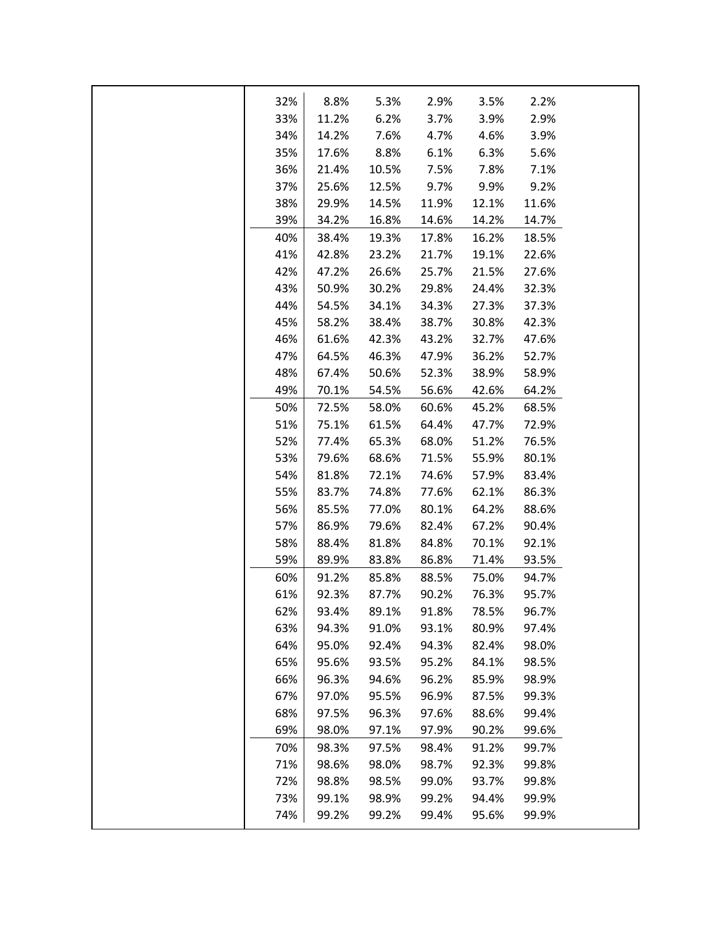| 32%<br>8.8%<br>5.3%<br>2.9%<br>3.5%<br>2.2%<br>33%<br>11.2%<br>6.2%<br>3.7%<br>2.9%<br>3.9%<br>34%<br>14.2%<br>7.6%<br>4.7%<br>3.9%<br>4.6%<br>35%<br>17.6%<br>8.8%<br>6.1%<br>6.3%<br>5.6%<br>36%<br>7.5%<br>7.1%<br>21.4%<br>10.5%<br>7.8%<br>37%<br>25.6%<br>12.5%<br>9.7%<br>9.9%<br>9.2%<br>38%<br>29.9%<br>14.5%<br>11.9%<br>11.6%<br>12.1%<br>39%<br>14.6%<br>34.2%<br>16.8%<br>14.2%<br>14.7%<br>40%<br>38.4%<br>19.3%<br>17.8%<br>16.2%<br>18.5%<br>41%<br>42.8%<br>23.2%<br>21.7%<br>19.1%<br>22.6%<br>42%<br>47.2%<br>26.6%<br>25.7%<br>21.5%<br>27.6%<br>43%<br>50.9%<br>30.2%<br>29.8%<br>24.4%<br>32.3%<br>44%<br>54.5%<br>34.1%<br>34.3%<br>27.3%<br>37.3%<br>45%<br>58.2%<br>38.7%<br>38.4%<br>30.8%<br>42.3%<br>46%<br>61.6%<br>42.3%<br>43.2%<br>32.7%<br>47.6%<br>47%<br>46.3%<br>64.5%<br>47.9%<br>36.2%<br>52.7%<br>48%<br>67.4%<br>50.6%<br>52.3%<br>38.9%<br>58.9%<br>49%<br>70.1%<br>54.5%<br>56.6%<br>42.6%<br>64.2%<br>50%<br>72.5%<br>58.0%<br>60.6%<br>45.2%<br>68.5%<br>51%<br>75.1%<br>72.9%<br>61.5%<br>64.4%<br>47.7%<br>52%<br>77.4%<br>65.3%<br>76.5%<br>68.0%<br>51.2%<br>53%<br>80.1%<br>79.6%<br>68.6%<br>71.5%<br>55.9%<br>54%<br>81.8%<br>72.1%<br>74.6%<br>83.4%<br>57.9%<br>55%<br>83.7%<br>74.8%<br>77.6%<br>86.3%<br>62.1%<br>56%<br>85.5%<br>77.0%<br>80.1%<br>64.2%<br>88.6%<br>57%<br>86.9%<br>79.6%<br>82.4%<br>67.2%<br>90.4%<br>58%<br>88.4%<br>81.8%<br>84.8%<br>70.1%<br>92.1%<br>93.5%<br>59%<br>89.9%<br>83.8%<br>86.8%<br>71.4%<br>60%<br>91.2%<br>85.8%<br>88.5%<br>75.0%<br>94.7%<br>61%<br>92.3%<br>90.2%<br>76.3%<br>87.7%<br>95.7%<br>62%<br>89.1%<br>93.4%<br>91.8%<br>78.5%<br>96.7%<br>63%<br>91.0%<br>80.9%<br>94.3%<br>93.1%<br>97.4%<br>64%<br>95.0%<br>92.4%<br>94.3%<br>82.4%<br>98.0%<br>65%<br>95.6%<br>93.5%<br>95.2%<br>84.1%<br>98.5%<br>66%<br>96.3%<br>94.6%<br>96.2%<br>85.9%<br>98.9%<br>67%<br>95.5%<br>96.9%<br>87.5%<br>97.0%<br>99.3%<br>68%<br>97.5%<br>96.3%<br>97.6%<br>88.6%<br>99.4%<br>69%<br>98.0%<br>97.1%<br>97.9%<br>90.2%<br>99.6%<br>70%<br>98.3%<br>97.5%<br>98.4%<br>91.2%<br>99.7%<br>71%<br>98.6%<br>98.7%<br>98.0%<br>92.3%<br>99.8%<br>72%<br>98.5%<br>98.8%<br>99.0%<br>93.7%<br>99.8%<br>73%<br>99.1%<br>98.9%<br>99.2%<br>94.4%<br>99.9%<br>74%<br>99.2%<br>99.2%<br>99.4%<br>95.6%<br>99.9% |  |  |  |  |
|---------------------------------------------------------------------------------------------------------------------------------------------------------------------------------------------------------------------------------------------------------------------------------------------------------------------------------------------------------------------------------------------------------------------------------------------------------------------------------------------------------------------------------------------------------------------------------------------------------------------------------------------------------------------------------------------------------------------------------------------------------------------------------------------------------------------------------------------------------------------------------------------------------------------------------------------------------------------------------------------------------------------------------------------------------------------------------------------------------------------------------------------------------------------------------------------------------------------------------------------------------------------------------------------------------------------------------------------------------------------------------------------------------------------------------------------------------------------------------------------------------------------------------------------------------------------------------------------------------------------------------------------------------------------------------------------------------------------------------------------------------------------------------------------------------------------------------------------------------------------------------------------------------------------------------------------------------------------------------------------------------------------------------------------------------------------------------------------------------------------------------------------------------------------------------------------------------------------------------------------------------------------------------------------------|--|--|--|--|
|                                                                                                                                                                                                                                                                                                                                                                                                                                                                                                                                                                                                                                                                                                                                                                                                                                                                                                                                                                                                                                                                                                                                                                                                                                                                                                                                                                                                                                                                                                                                                                                                                                                                                                                                                                                                                                                                                                                                                                                                                                                                                                                                                                                                                                                                                                   |  |  |  |  |
|                                                                                                                                                                                                                                                                                                                                                                                                                                                                                                                                                                                                                                                                                                                                                                                                                                                                                                                                                                                                                                                                                                                                                                                                                                                                                                                                                                                                                                                                                                                                                                                                                                                                                                                                                                                                                                                                                                                                                                                                                                                                                                                                                                                                                                                                                                   |  |  |  |  |
|                                                                                                                                                                                                                                                                                                                                                                                                                                                                                                                                                                                                                                                                                                                                                                                                                                                                                                                                                                                                                                                                                                                                                                                                                                                                                                                                                                                                                                                                                                                                                                                                                                                                                                                                                                                                                                                                                                                                                                                                                                                                                                                                                                                                                                                                                                   |  |  |  |  |
|                                                                                                                                                                                                                                                                                                                                                                                                                                                                                                                                                                                                                                                                                                                                                                                                                                                                                                                                                                                                                                                                                                                                                                                                                                                                                                                                                                                                                                                                                                                                                                                                                                                                                                                                                                                                                                                                                                                                                                                                                                                                                                                                                                                                                                                                                                   |  |  |  |  |
|                                                                                                                                                                                                                                                                                                                                                                                                                                                                                                                                                                                                                                                                                                                                                                                                                                                                                                                                                                                                                                                                                                                                                                                                                                                                                                                                                                                                                                                                                                                                                                                                                                                                                                                                                                                                                                                                                                                                                                                                                                                                                                                                                                                                                                                                                                   |  |  |  |  |
|                                                                                                                                                                                                                                                                                                                                                                                                                                                                                                                                                                                                                                                                                                                                                                                                                                                                                                                                                                                                                                                                                                                                                                                                                                                                                                                                                                                                                                                                                                                                                                                                                                                                                                                                                                                                                                                                                                                                                                                                                                                                                                                                                                                                                                                                                                   |  |  |  |  |
|                                                                                                                                                                                                                                                                                                                                                                                                                                                                                                                                                                                                                                                                                                                                                                                                                                                                                                                                                                                                                                                                                                                                                                                                                                                                                                                                                                                                                                                                                                                                                                                                                                                                                                                                                                                                                                                                                                                                                                                                                                                                                                                                                                                                                                                                                                   |  |  |  |  |
|                                                                                                                                                                                                                                                                                                                                                                                                                                                                                                                                                                                                                                                                                                                                                                                                                                                                                                                                                                                                                                                                                                                                                                                                                                                                                                                                                                                                                                                                                                                                                                                                                                                                                                                                                                                                                                                                                                                                                                                                                                                                                                                                                                                                                                                                                                   |  |  |  |  |
|                                                                                                                                                                                                                                                                                                                                                                                                                                                                                                                                                                                                                                                                                                                                                                                                                                                                                                                                                                                                                                                                                                                                                                                                                                                                                                                                                                                                                                                                                                                                                                                                                                                                                                                                                                                                                                                                                                                                                                                                                                                                                                                                                                                                                                                                                                   |  |  |  |  |
|                                                                                                                                                                                                                                                                                                                                                                                                                                                                                                                                                                                                                                                                                                                                                                                                                                                                                                                                                                                                                                                                                                                                                                                                                                                                                                                                                                                                                                                                                                                                                                                                                                                                                                                                                                                                                                                                                                                                                                                                                                                                                                                                                                                                                                                                                                   |  |  |  |  |
|                                                                                                                                                                                                                                                                                                                                                                                                                                                                                                                                                                                                                                                                                                                                                                                                                                                                                                                                                                                                                                                                                                                                                                                                                                                                                                                                                                                                                                                                                                                                                                                                                                                                                                                                                                                                                                                                                                                                                                                                                                                                                                                                                                                                                                                                                                   |  |  |  |  |
|                                                                                                                                                                                                                                                                                                                                                                                                                                                                                                                                                                                                                                                                                                                                                                                                                                                                                                                                                                                                                                                                                                                                                                                                                                                                                                                                                                                                                                                                                                                                                                                                                                                                                                                                                                                                                                                                                                                                                                                                                                                                                                                                                                                                                                                                                                   |  |  |  |  |
|                                                                                                                                                                                                                                                                                                                                                                                                                                                                                                                                                                                                                                                                                                                                                                                                                                                                                                                                                                                                                                                                                                                                                                                                                                                                                                                                                                                                                                                                                                                                                                                                                                                                                                                                                                                                                                                                                                                                                                                                                                                                                                                                                                                                                                                                                                   |  |  |  |  |
|                                                                                                                                                                                                                                                                                                                                                                                                                                                                                                                                                                                                                                                                                                                                                                                                                                                                                                                                                                                                                                                                                                                                                                                                                                                                                                                                                                                                                                                                                                                                                                                                                                                                                                                                                                                                                                                                                                                                                                                                                                                                                                                                                                                                                                                                                                   |  |  |  |  |
|                                                                                                                                                                                                                                                                                                                                                                                                                                                                                                                                                                                                                                                                                                                                                                                                                                                                                                                                                                                                                                                                                                                                                                                                                                                                                                                                                                                                                                                                                                                                                                                                                                                                                                                                                                                                                                                                                                                                                                                                                                                                                                                                                                                                                                                                                                   |  |  |  |  |
|                                                                                                                                                                                                                                                                                                                                                                                                                                                                                                                                                                                                                                                                                                                                                                                                                                                                                                                                                                                                                                                                                                                                                                                                                                                                                                                                                                                                                                                                                                                                                                                                                                                                                                                                                                                                                                                                                                                                                                                                                                                                                                                                                                                                                                                                                                   |  |  |  |  |
|                                                                                                                                                                                                                                                                                                                                                                                                                                                                                                                                                                                                                                                                                                                                                                                                                                                                                                                                                                                                                                                                                                                                                                                                                                                                                                                                                                                                                                                                                                                                                                                                                                                                                                                                                                                                                                                                                                                                                                                                                                                                                                                                                                                                                                                                                                   |  |  |  |  |
|                                                                                                                                                                                                                                                                                                                                                                                                                                                                                                                                                                                                                                                                                                                                                                                                                                                                                                                                                                                                                                                                                                                                                                                                                                                                                                                                                                                                                                                                                                                                                                                                                                                                                                                                                                                                                                                                                                                                                                                                                                                                                                                                                                                                                                                                                                   |  |  |  |  |
|                                                                                                                                                                                                                                                                                                                                                                                                                                                                                                                                                                                                                                                                                                                                                                                                                                                                                                                                                                                                                                                                                                                                                                                                                                                                                                                                                                                                                                                                                                                                                                                                                                                                                                                                                                                                                                                                                                                                                                                                                                                                                                                                                                                                                                                                                                   |  |  |  |  |
|                                                                                                                                                                                                                                                                                                                                                                                                                                                                                                                                                                                                                                                                                                                                                                                                                                                                                                                                                                                                                                                                                                                                                                                                                                                                                                                                                                                                                                                                                                                                                                                                                                                                                                                                                                                                                                                                                                                                                                                                                                                                                                                                                                                                                                                                                                   |  |  |  |  |
|                                                                                                                                                                                                                                                                                                                                                                                                                                                                                                                                                                                                                                                                                                                                                                                                                                                                                                                                                                                                                                                                                                                                                                                                                                                                                                                                                                                                                                                                                                                                                                                                                                                                                                                                                                                                                                                                                                                                                                                                                                                                                                                                                                                                                                                                                                   |  |  |  |  |
|                                                                                                                                                                                                                                                                                                                                                                                                                                                                                                                                                                                                                                                                                                                                                                                                                                                                                                                                                                                                                                                                                                                                                                                                                                                                                                                                                                                                                                                                                                                                                                                                                                                                                                                                                                                                                                                                                                                                                                                                                                                                                                                                                                                                                                                                                                   |  |  |  |  |
|                                                                                                                                                                                                                                                                                                                                                                                                                                                                                                                                                                                                                                                                                                                                                                                                                                                                                                                                                                                                                                                                                                                                                                                                                                                                                                                                                                                                                                                                                                                                                                                                                                                                                                                                                                                                                                                                                                                                                                                                                                                                                                                                                                                                                                                                                                   |  |  |  |  |
|                                                                                                                                                                                                                                                                                                                                                                                                                                                                                                                                                                                                                                                                                                                                                                                                                                                                                                                                                                                                                                                                                                                                                                                                                                                                                                                                                                                                                                                                                                                                                                                                                                                                                                                                                                                                                                                                                                                                                                                                                                                                                                                                                                                                                                                                                                   |  |  |  |  |
|                                                                                                                                                                                                                                                                                                                                                                                                                                                                                                                                                                                                                                                                                                                                                                                                                                                                                                                                                                                                                                                                                                                                                                                                                                                                                                                                                                                                                                                                                                                                                                                                                                                                                                                                                                                                                                                                                                                                                                                                                                                                                                                                                                                                                                                                                                   |  |  |  |  |
|                                                                                                                                                                                                                                                                                                                                                                                                                                                                                                                                                                                                                                                                                                                                                                                                                                                                                                                                                                                                                                                                                                                                                                                                                                                                                                                                                                                                                                                                                                                                                                                                                                                                                                                                                                                                                                                                                                                                                                                                                                                                                                                                                                                                                                                                                                   |  |  |  |  |
|                                                                                                                                                                                                                                                                                                                                                                                                                                                                                                                                                                                                                                                                                                                                                                                                                                                                                                                                                                                                                                                                                                                                                                                                                                                                                                                                                                                                                                                                                                                                                                                                                                                                                                                                                                                                                                                                                                                                                                                                                                                                                                                                                                                                                                                                                                   |  |  |  |  |
|                                                                                                                                                                                                                                                                                                                                                                                                                                                                                                                                                                                                                                                                                                                                                                                                                                                                                                                                                                                                                                                                                                                                                                                                                                                                                                                                                                                                                                                                                                                                                                                                                                                                                                                                                                                                                                                                                                                                                                                                                                                                                                                                                                                                                                                                                                   |  |  |  |  |
|                                                                                                                                                                                                                                                                                                                                                                                                                                                                                                                                                                                                                                                                                                                                                                                                                                                                                                                                                                                                                                                                                                                                                                                                                                                                                                                                                                                                                                                                                                                                                                                                                                                                                                                                                                                                                                                                                                                                                                                                                                                                                                                                                                                                                                                                                                   |  |  |  |  |
|                                                                                                                                                                                                                                                                                                                                                                                                                                                                                                                                                                                                                                                                                                                                                                                                                                                                                                                                                                                                                                                                                                                                                                                                                                                                                                                                                                                                                                                                                                                                                                                                                                                                                                                                                                                                                                                                                                                                                                                                                                                                                                                                                                                                                                                                                                   |  |  |  |  |
|                                                                                                                                                                                                                                                                                                                                                                                                                                                                                                                                                                                                                                                                                                                                                                                                                                                                                                                                                                                                                                                                                                                                                                                                                                                                                                                                                                                                                                                                                                                                                                                                                                                                                                                                                                                                                                                                                                                                                                                                                                                                                                                                                                                                                                                                                                   |  |  |  |  |
|                                                                                                                                                                                                                                                                                                                                                                                                                                                                                                                                                                                                                                                                                                                                                                                                                                                                                                                                                                                                                                                                                                                                                                                                                                                                                                                                                                                                                                                                                                                                                                                                                                                                                                                                                                                                                                                                                                                                                                                                                                                                                                                                                                                                                                                                                                   |  |  |  |  |
|                                                                                                                                                                                                                                                                                                                                                                                                                                                                                                                                                                                                                                                                                                                                                                                                                                                                                                                                                                                                                                                                                                                                                                                                                                                                                                                                                                                                                                                                                                                                                                                                                                                                                                                                                                                                                                                                                                                                                                                                                                                                                                                                                                                                                                                                                                   |  |  |  |  |
|                                                                                                                                                                                                                                                                                                                                                                                                                                                                                                                                                                                                                                                                                                                                                                                                                                                                                                                                                                                                                                                                                                                                                                                                                                                                                                                                                                                                                                                                                                                                                                                                                                                                                                                                                                                                                                                                                                                                                                                                                                                                                                                                                                                                                                                                                                   |  |  |  |  |
|                                                                                                                                                                                                                                                                                                                                                                                                                                                                                                                                                                                                                                                                                                                                                                                                                                                                                                                                                                                                                                                                                                                                                                                                                                                                                                                                                                                                                                                                                                                                                                                                                                                                                                                                                                                                                                                                                                                                                                                                                                                                                                                                                                                                                                                                                                   |  |  |  |  |
|                                                                                                                                                                                                                                                                                                                                                                                                                                                                                                                                                                                                                                                                                                                                                                                                                                                                                                                                                                                                                                                                                                                                                                                                                                                                                                                                                                                                                                                                                                                                                                                                                                                                                                                                                                                                                                                                                                                                                                                                                                                                                                                                                                                                                                                                                                   |  |  |  |  |
|                                                                                                                                                                                                                                                                                                                                                                                                                                                                                                                                                                                                                                                                                                                                                                                                                                                                                                                                                                                                                                                                                                                                                                                                                                                                                                                                                                                                                                                                                                                                                                                                                                                                                                                                                                                                                                                                                                                                                                                                                                                                                                                                                                                                                                                                                                   |  |  |  |  |
|                                                                                                                                                                                                                                                                                                                                                                                                                                                                                                                                                                                                                                                                                                                                                                                                                                                                                                                                                                                                                                                                                                                                                                                                                                                                                                                                                                                                                                                                                                                                                                                                                                                                                                                                                                                                                                                                                                                                                                                                                                                                                                                                                                                                                                                                                                   |  |  |  |  |
|                                                                                                                                                                                                                                                                                                                                                                                                                                                                                                                                                                                                                                                                                                                                                                                                                                                                                                                                                                                                                                                                                                                                                                                                                                                                                                                                                                                                                                                                                                                                                                                                                                                                                                                                                                                                                                                                                                                                                                                                                                                                                                                                                                                                                                                                                                   |  |  |  |  |
|                                                                                                                                                                                                                                                                                                                                                                                                                                                                                                                                                                                                                                                                                                                                                                                                                                                                                                                                                                                                                                                                                                                                                                                                                                                                                                                                                                                                                                                                                                                                                                                                                                                                                                                                                                                                                                                                                                                                                                                                                                                                                                                                                                                                                                                                                                   |  |  |  |  |
|                                                                                                                                                                                                                                                                                                                                                                                                                                                                                                                                                                                                                                                                                                                                                                                                                                                                                                                                                                                                                                                                                                                                                                                                                                                                                                                                                                                                                                                                                                                                                                                                                                                                                                                                                                                                                                                                                                                                                                                                                                                                                                                                                                                                                                                                                                   |  |  |  |  |
|                                                                                                                                                                                                                                                                                                                                                                                                                                                                                                                                                                                                                                                                                                                                                                                                                                                                                                                                                                                                                                                                                                                                                                                                                                                                                                                                                                                                                                                                                                                                                                                                                                                                                                                                                                                                                                                                                                                                                                                                                                                                                                                                                                                                                                                                                                   |  |  |  |  |
|                                                                                                                                                                                                                                                                                                                                                                                                                                                                                                                                                                                                                                                                                                                                                                                                                                                                                                                                                                                                                                                                                                                                                                                                                                                                                                                                                                                                                                                                                                                                                                                                                                                                                                                                                                                                                                                                                                                                                                                                                                                                                                                                                                                                                                                                                                   |  |  |  |  |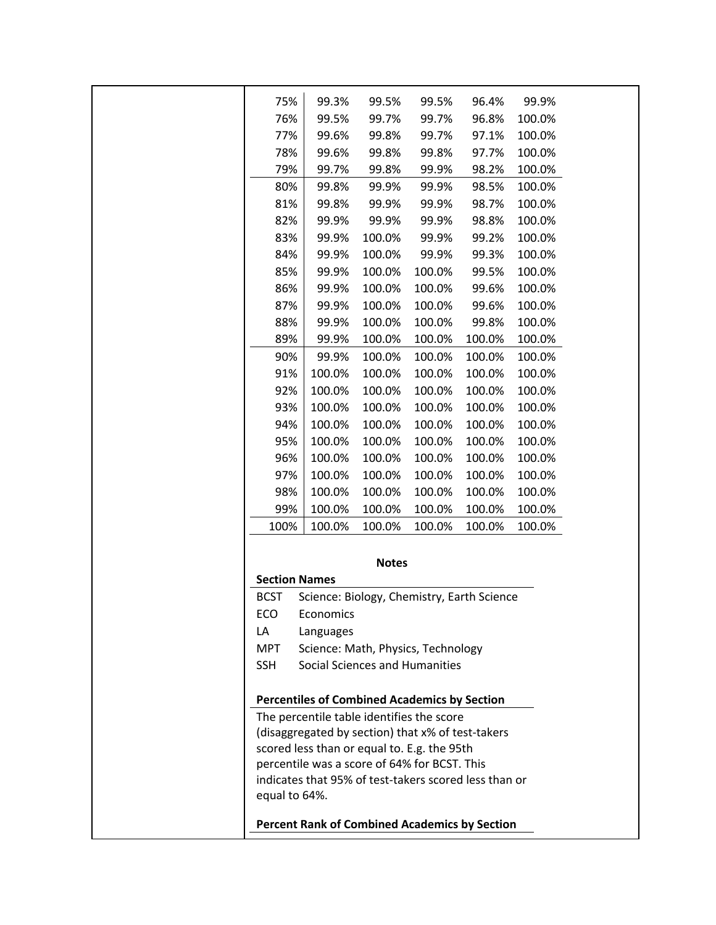| 75%                  | 99.3%     | 99.5%        | 99.5%                                                                                       | 96.4%  | 99.9%  |  |
|----------------------|-----------|--------------|---------------------------------------------------------------------------------------------|--------|--------|--|
| 76%                  | 99.5%     | 99.7%        | 99.7%                                                                                       | 96.8%  | 100.0% |  |
| 77%                  | 99.6%     | 99.8%        | 99.7%                                                                                       | 97.1%  | 100.0% |  |
| 78%                  | 99.6%     | 99.8%        | 99.8%                                                                                       | 97.7%  | 100.0% |  |
| 79%                  | 99.7%     | 99.8%        | 99.9%                                                                                       | 98.2%  | 100.0% |  |
| 80%                  | 99.8%     | 99.9%        | 99.9%                                                                                       | 98.5%  | 100.0% |  |
| 81%                  | 99.8%     | 99.9%        | 99.9%                                                                                       | 98.7%  | 100.0% |  |
| 82%                  | 99.9%     | 99.9%        | 99.9%                                                                                       | 98.8%  | 100.0% |  |
| 83%                  | 99.9%     | 100.0%       | 99.9%                                                                                       | 99.2%  | 100.0% |  |
| 84%                  | 99.9%     | 100.0%       | 99.9%                                                                                       | 99.3%  | 100.0% |  |
| 85%                  | 99.9%     | 100.0%       | 100.0%                                                                                      | 99.5%  | 100.0% |  |
| 86%                  | 99.9%     | 100.0%       | 100.0%                                                                                      | 99.6%  | 100.0% |  |
| 87%                  | 99.9%     | 100.0%       | 100.0%                                                                                      | 99.6%  | 100.0% |  |
| 88%                  | 99.9%     | 100.0%       | 100.0%                                                                                      | 99.8%  | 100.0% |  |
| 89%                  | 99.9%     | 100.0%       | 100.0%                                                                                      | 100.0% | 100.0% |  |
| 90%                  | 99.9%     | 100.0%       | 100.0%                                                                                      | 100.0% | 100.0% |  |
| 91%                  | 100.0%    | 100.0%       | 100.0%                                                                                      | 100.0% | 100.0% |  |
| 92%                  | 100.0%    | 100.0%       | 100.0%                                                                                      | 100.0% | 100.0% |  |
| 93%                  | 100.0%    | 100.0%       | 100.0%                                                                                      | 100.0% | 100.0% |  |
| 94%                  | 100.0%    | 100.0%       | 100.0%                                                                                      | 100.0% | 100.0% |  |
| 95%                  | 100.0%    | 100.0%       | 100.0%                                                                                      | 100.0% | 100.0% |  |
| 96%                  | 100.0%    | 100.0%       | 100.0%                                                                                      | 100.0% | 100.0% |  |
| 97%                  | 100.0%    | 100.0%       | 100.0%                                                                                      | 100.0% | 100.0% |  |
| 98%                  | 100.0%    | 100.0%       | 100.0%                                                                                      | 100.0% | 100.0% |  |
| 99%                  | 100.0%    | 100.0%       | 100.0%                                                                                      | 100.0% | 100.0% |  |
| 100%                 | 100.0%    | 100.0%       | 100.0%                                                                                      | 100.0% | 100.0% |  |
|                      |           |              |                                                                                             |        |        |  |
|                      |           | <b>Notes</b> |                                                                                             |        |        |  |
| <b>Section Names</b> |           |              |                                                                                             |        |        |  |
| <b>BCST</b>          |           |              | Science: Biology, Chemistry, Earth Science                                                  |        |        |  |
| ECO                  | Economics |              |                                                                                             |        |        |  |
| LA                   | Languages |              |                                                                                             |        |        |  |
| MPT                  |           |              | Science: Math, Physics, Technology                                                          |        |        |  |
| <b>SSH</b>           |           |              | <b>Social Sciences and Humanities</b>                                                       |        |        |  |
|                      |           |              |                                                                                             |        |        |  |
|                      |           |              | <b>Percentiles of Combined Academics by Section</b>                                         |        |        |  |
|                      |           |              | The percentile table identifies the score                                                   |        |        |  |
|                      |           |              | (disaggregated by section) that x% of test-takers                                           |        |        |  |
|                      |           |              | scored less than or equal to. E.g. the 95th<br>percentile was a score of 64% for BCST. This |        |        |  |
|                      |           |              | indicates that 95% of test-takers scored less than or                                       |        |        |  |
| equal to 64%.        |           |              |                                                                                             |        |        |  |
|                      |           |              |                                                                                             |        |        |  |
|                      |           |              | <b>Percent Rank of Combined Academics by Section</b>                                        |        |        |  |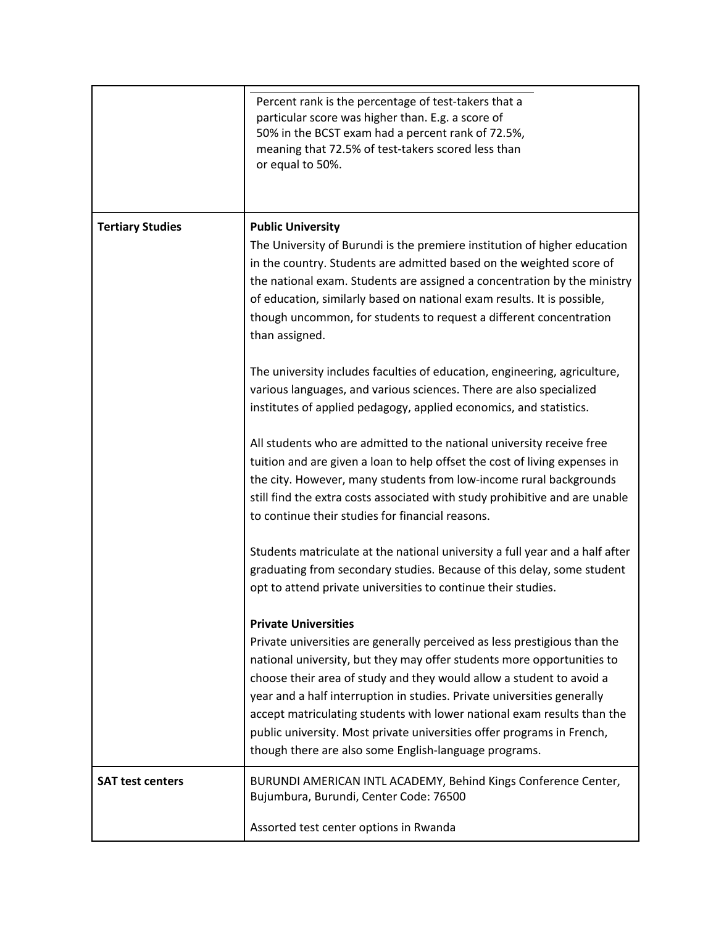|                         | Percent rank is the percentage of test-takers that a<br>particular score was higher than. E.g. a score of<br>50% in the BCST exam had a percent rank of 72.5%,<br>meaning that 72.5% of test-takers scored less than<br>or equal to 50%.                                                                                                                                                                                                                                                                             |
|-------------------------|----------------------------------------------------------------------------------------------------------------------------------------------------------------------------------------------------------------------------------------------------------------------------------------------------------------------------------------------------------------------------------------------------------------------------------------------------------------------------------------------------------------------|
| <b>Tertiary Studies</b> | <b>Public University</b><br>The University of Burundi is the premiere institution of higher education<br>in the country. Students are admitted based on the weighted score of<br>the national exam. Students are assigned a concentration by the ministry<br>of education, similarly based on national exam results. It is possible,<br>though uncommon, for students to request a different concentration<br>than assigned.                                                                                         |
|                         | The university includes faculties of education, engineering, agriculture,<br>various languages, and various sciences. There are also specialized<br>institutes of applied pedagogy, applied economics, and statistics.                                                                                                                                                                                                                                                                                               |
|                         | All students who are admitted to the national university receive free<br>tuition and are given a loan to help offset the cost of living expenses in<br>the city. However, many students from low-income rural backgrounds<br>still find the extra costs associated with study prohibitive and are unable<br>to continue their studies for financial reasons.                                                                                                                                                         |
|                         | Students matriculate at the national university a full year and a half after<br>graduating from secondary studies. Because of this delay, some student<br>opt to attend private universities to continue their studies.                                                                                                                                                                                                                                                                                              |
|                         | <b>Private Universities</b>                                                                                                                                                                                                                                                                                                                                                                                                                                                                                          |
|                         | Private universities are generally perceived as less prestigious than the<br>national university, but they may offer students more opportunities to<br>choose their area of study and they would allow a student to avoid a<br>year and a half interruption in studies. Private universities generally<br>accept matriculating students with lower national exam results than the<br>public university. Most private universities offer programs in French,<br>though there are also some English-language programs. |
| <b>SAT test centers</b> | BURUNDI AMERICAN INTL ACADEMY, Behind Kings Conference Center,<br>Bujumbura, Burundi, Center Code: 76500                                                                                                                                                                                                                                                                                                                                                                                                             |
|                         | Assorted test center options in Rwanda                                                                                                                                                                                                                                                                                                                                                                                                                                                                               |